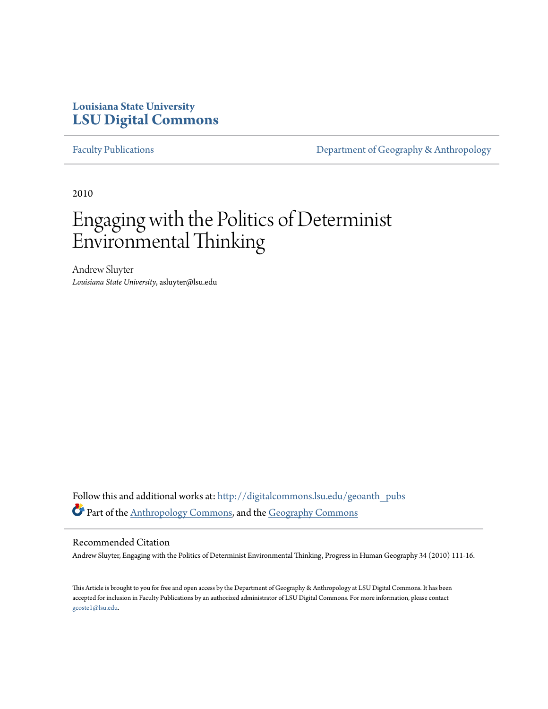## **Louisiana State University [LSU Digital Commons](http://digitalcommons.lsu.edu?utm_source=digitalcommons.lsu.edu%2Fgeoanth_pubs%2F85&utm_medium=PDF&utm_campaign=PDFCoverPages)**

[Faculty Publications](http://digitalcommons.lsu.edu/geoanth_pubs?utm_source=digitalcommons.lsu.edu%2Fgeoanth_pubs%2F85&utm_medium=PDF&utm_campaign=PDFCoverPages) **[Department of Geography & Anthropology](http://digitalcommons.lsu.edu/geoanth?utm_source=digitalcommons.lsu.edu%2Fgeoanth_pubs%2F85&utm_medium=PDF&utm_campaign=PDFCoverPages)** 

2010

# Engaging with the Politics of Determinist Environmental Thinking

Andrew Sluyter *Louisiana State University*, asluyter@lsu.edu

Follow this and additional works at: [http://digitalcommons.lsu.edu/geoanth\\_pubs](http://digitalcommons.lsu.edu/geoanth_pubs?utm_source=digitalcommons.lsu.edu%2Fgeoanth_pubs%2F85&utm_medium=PDF&utm_campaign=PDFCoverPages) Part of the [Anthropology Commons](http://network.bepress.com/hgg/discipline/318?utm_source=digitalcommons.lsu.edu%2Fgeoanth_pubs%2F85&utm_medium=PDF&utm_campaign=PDFCoverPages), and the [Geography Commons](http://network.bepress.com/hgg/discipline/354?utm_source=digitalcommons.lsu.edu%2Fgeoanth_pubs%2F85&utm_medium=PDF&utm_campaign=PDFCoverPages)

### Recommended Citation

Andrew Sluyter, Engaging with the Politics of Determinist Environmental Thinking, Progress in Human Geography 34 (2010) 111-16.

This Article is brought to you for free and open access by the Department of Geography & Anthropology at LSU Digital Commons. It has been accepted for inclusion in Faculty Publications by an authorized administrator of LSU Digital Commons. For more information, please contact [gcoste1@lsu.edu.](mailto:gcoste1@lsu.edu)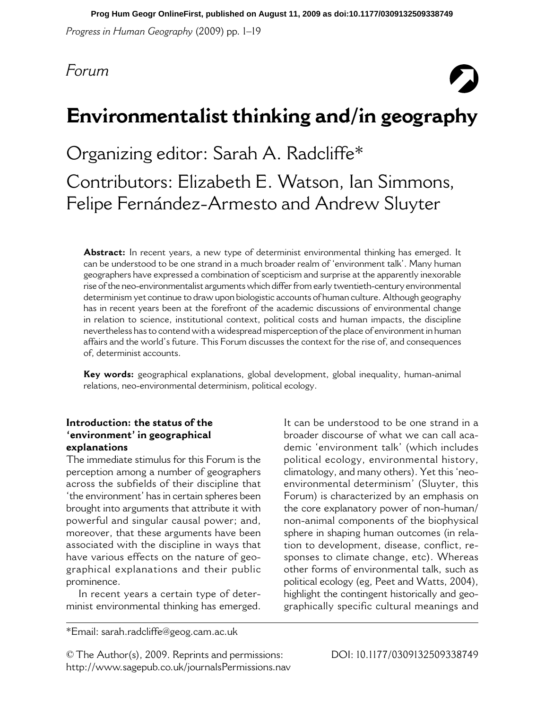*Progress in Human Geography* (2009) pp. 1–19

## *Forum*

# **Environmentalist thinking and/in geography**

Organizing editor: Sarah A. Radcliffe\* Contributors: Elizabeth E. Watson, Ian Simmons, Felipe Fernández-Armesto and Andrew Sluyter

**Abstract:** In recent years, a new type of determinist environmental thinking has emerged. It can be understood to be one strand in a much broader realm of 'environment talk'. Many human geographers have expressed a combination of scepticism and surprise at the apparently inexorable rise of the neo-environmentalist arguments which differ from early twentieth-century environmental determinism yet continue to draw upon biologistic accounts of human culture. Although geography has in recent years been at the forefront of the academic discussions of environmental change in relation to science, institutional context, political costs and human impacts, the discipline nevertheless has to contend with a widespread misperception of the place of environment in human affairs and the world's future. This Forum discusses the context for the rise of, and consequences of, determinist accounts.

**Key words:** geographical explanations, global development, global inequality, human-animal relations, neo-environmental determinism, political ecology.

#### **Introduction: the status of the 'environment' in geographical explanations**

The immediate stimulus for this Forum is the perception among a number of geographers across the subfields of their discipline that 'the environment' has in certain spheres been brought into arguments that attribute it with powerful and singular causal power; and, moreover, that these arguments have been associated with the discipline in ways that have various effects on the nature of geographical explanations and their public prominence.

In recent years a certain type of determinist environmental thinking has emerged. It can be understood to be one strand in a broader discourse of what we can call academic 'environment talk' (which includes political ecology, environmental history, climatology, and many others). Yet this 'neoenvironmental determinism' (Sluyter, this Forum) is characterized by an emphasis on the core explanatory power of non-human/ non-animal components of the biophysical sphere in shaping human outcomes (in relation to development, disease, conflict, responses to climate change, etc). Whereas other forms of environmental talk, such as political ecology (eg, Peet and Watts, 2004), highlight the contingent historically and geographically specific cultural meanings and

\*Email: sarah.radcliffe@geog.cam.ac.uk

© The Author(s), 2009. Reprints and permissions: http://www.sagepub.co.uk/journalsPermissions.nav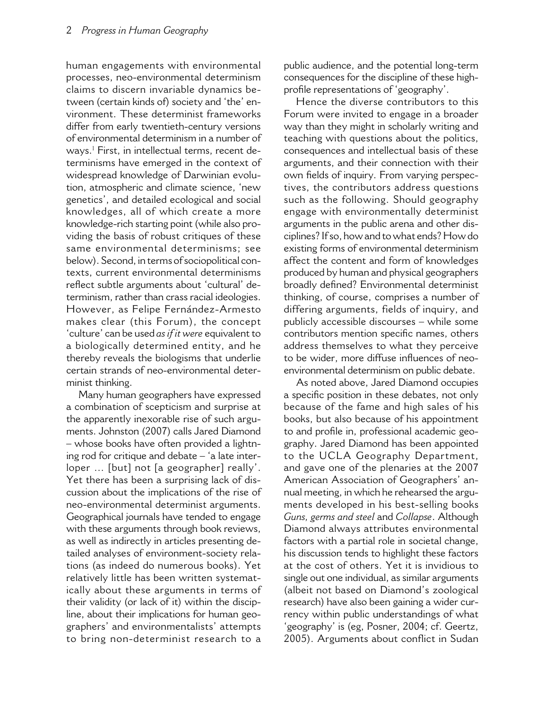human engagements with environmental processes, neo-environmental determinism claims to discern invariable dynamics between (certain kinds of) society and 'the' environment. These determinist frameworks differ from early twentieth-century versions of environmental determinism in a number of ways.1 First, in intellectual terms, recent determinisms have emerged in the context of widespread knowledge of Darwinian evolution, atmospheric and climate science, 'new genetics', and detailed ecological and social knowledges, all of which create a more knowledge-rich starting point (while also providing the basis of robust critiques of these same environmental determinisms; see below). Second, in terms of sociopolitical contexts, current environmental determinisms reflect subtle arguments about 'cultural' determinism, rather than crass racial ideologies. However, as Felipe Fernández-Armesto makes clear (this Forum), the concept 'culture' can be used *as if it were* equivalent to a biologically determined entity, and he thereby reveals the biologisms that underlie certain strands of neo-environmental determinist thinking.

Many human geographers have expressed a combination of scepticism and surprise at the apparently inexorable rise of such arguments. Johnston (2007) calls Jared Diamond – whose books have often provided a lightning rod for critique and debate – 'a late interloper … [but] not [a geographer] really'. Yet there has been a surprising lack of discussion about the implications of the rise of neo-environmental determinist arguments. Geographical journals have tended to engage with these arguments through book reviews, as well as indirectly in articles presenting detailed analyses of environment-society relations (as indeed do numerous books). Yet relatively little has been written systematically about these arguments in terms of their validity (or lack of it) within the discipline, about their implications for human geographers' and environmentalists' attempts to bring non-determinist research to a

public audience, and the potential long-term consequences for the discipline of these highprofile representations of 'geography'.

Hence the diverse contributors to this Forum were invited to engage in a broader way than they might in scholarly writing and teaching with questions about the politics, consequences and intellectual basis of these arguments, and their connection with their own fields of inquiry. From varying perspectives, the contributors address questions such as the following. Should geography engage with environmentally determinist arguments in the public arena and other disciplines? If so, how and to what ends? How do existing forms of environmental determinism affect the content and form of knowledges produced by human and physical geographers broadly defined? Environmental determinist thinking, of course, comprises a number of differing arguments, fields of inquiry, and publicly accessible discourses – while some contributors mention specific names, others address themselves to what they perceive to be wider, more diffuse influences of neoenvironmental determinism on public debate.

As noted above, Jared Diamond occupies a specific position in these debates, not only because of the fame and high sales of his books, but also because of his appointment to and profile in, professional academic geography. Jared Diamond has been appointed to the UCLA Geography Department, and gave one of the plenaries at the 2007 American Association of Geographers' annual meeting, in which he rehearsed the arguments developed in his best-selling books *Guns, germs and steel* and *Collapse*. Although Diamond always attributes environmental factors with a partial role in societal change, his discussion tends to highlight these factors at the cost of others. Yet it is invidious to single out one individual, as similar arguments (albeit not based on Diamond's zoological research) have also been gaining a wider currency within public understandings of what 'geography' is (eg, Posner, 2004; cf. Geertz, 2005). Arguments about conflict in Sudan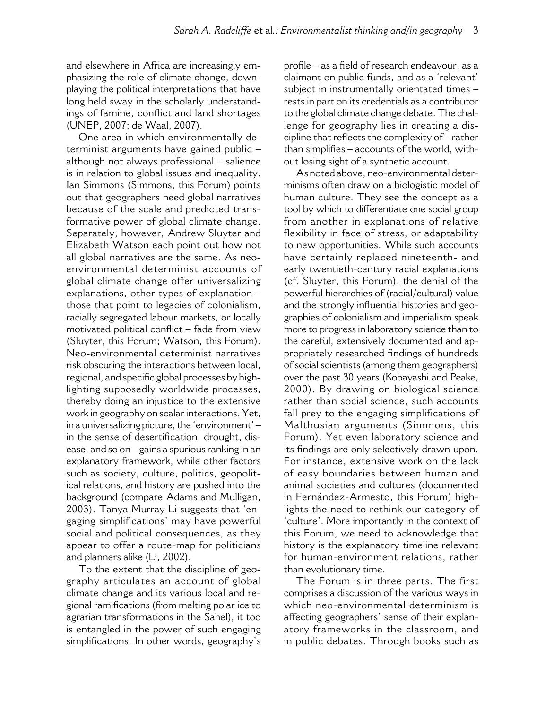and elsewhere in Africa are increasingly emphasizing the role of climate change, downplaying the political interpretations that have long held sway in the scholarly understandings of famine, conflict and land shortages (UNEP, 2007; de Waal, 2007).

One area in which environmentally determinist arguments have gained public – although not always professional – salience is in relation to global issues and inequality. Ian Simmons (Simmons, this Forum) points out that geographers need global narratives because of the scale and predicted transformative power of global climate change. Separately, however, Andrew Sluyter and Elizabeth Watson each point out how not all global narratives are the same. As neoenvironmental determinist accounts of global climate change offer universalizing explanations, other types of explanation – those that point to legacies of colonialism, racially segregated labour markets, or locally motivated political conflict – fade from view (Sluyter, this Forum; Watson, this Forum). Neo-environmental determinist narratives risk obscuring the interactions between local, regional, and specific global processes by highlighting supposedly worldwide processes, thereby doing an injustice to the extensive work in geography on scalar interactions. Yet, in a universalizing picture, the 'environment' – in the sense of desertification, drought, disease, and so on – gains a spurious ranking in an explanatory framework, while other factors such as society, culture, politics, geopolitical relations, and history are pushed into the background (compare Adams and Mulligan, 2003). Tanya Murray Li suggests that 'engaging simplifications' may have powerful social and political consequences, as they appear to offer a route-map for politicians and planners alike (Li, 2002).

To the extent that the discipline of geography articulates an account of global climate change and its various local and regional ramifications (from melting polar ice to agrarian transformations in the Sahel), it too is entangled in the power of such engaging simplifications. In other words, geography's profile – as a field of research endeavour, as a claimant on public funds, and as a 'relevant' subject in instrumentally orientated times – rests in part on its credentials as a contributor to the global climate change debate. The challenge for geography lies in creating a discipline that reflects the complexity of – rather than simplifies  $-$  accounts of the world, without losing sight of a synthetic account.

As noted above, neo-environmental determinisms often draw on a biologistic model of human culture. They see the concept as a tool by which to differentiate one social group from another in explanations of relative flexibility in face of stress, or adaptability to new opportunities. While such accounts have certainly replaced nineteenth- and early twentieth-century racial explanations (cf. Sluyter, this Forum), the denial of the powerful hierarchies of (racial/cultural) value and the strongly influential histories and geographies of colonialism and imperialism speak more to progress in laboratory science than to the careful, extensively documented and appropriately researched findings of hundreds of social scientists (among them geographers) over the past 30 years (Kobayashi and Peake, 2000). By drawing on biological science rather than social science, such accounts fall prey to the engaging simplifications of Malthusian arguments (Simmons, this Forum). Yet even laboratory science and its findings are only selectively drawn upon. For instance, extensive work on the lack of easy boundaries between human and animal societies and cultures (documented in Fernández-Armesto, this Forum) highlights the need to rethink our category of 'culture'. More importantly in the context of this Forum, we need to acknowledge that history is the explanatory timeline relevant for human-environment relations, rather than evolutionary time.

The Forum is in three parts. The first comprises a discussion of the various ways in which neo-environmental determinism is affecting geographers' sense of their explanatory frameworks in the classroom, and in public debates. Through books such as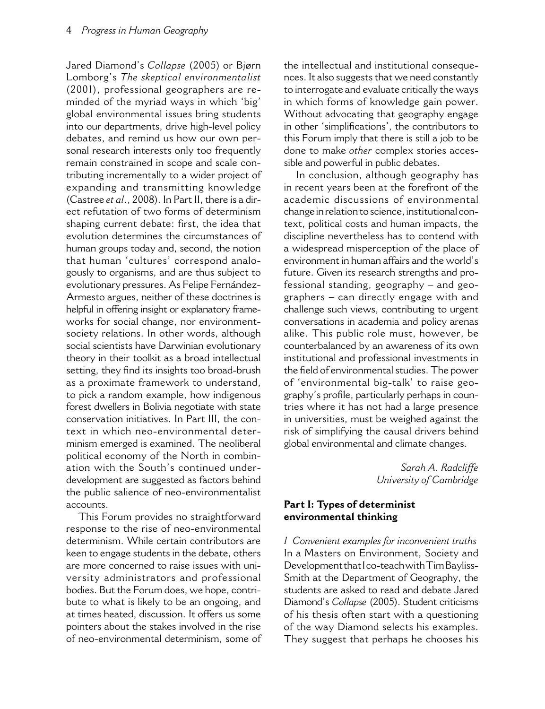Jared Diamond's *Collapse* (2005) or Bjørn Lomborg's *The skeptical environmentalist* (2001), professional geographers are reminded of the myriad ways in which 'big' global environmental issues bring students into our departments, drive high-level policy debates, and remind us how our own personal research interests only too frequently remain constrained in scope and scale contributing incrementally to a wider project of expanding and transmitting knowledge (Castree *et al*., 2008). In Part II, there is a direct refutation of two forms of determinism shaping current debate: first, the idea that evolution determines the circumstances of human groups today and, second, the notion that human 'cultures' correspond analogously to organisms, and are thus subject to evolutionary pressures. As Felipe Fernández-Armesto argues, neither of these doctrines is helpful in offering insight or explanatory frameworks for social change, nor environmentsociety relations. In other words, although social scientists have Darwinian evolutionary theory in their toolkit as a broad intellectual setting, they find its insights too broad-brush as a proximate framework to understand, to pick a random example, how indigenous forest dwellers in Bolivia negotiate with state conservation initiatives. In Part III, the context in which neo-environmental determinism emerged is examined. The neoliberal political economy of the North in combination with the South's continued underdevelopment are suggested as factors behind the public salience of neo-environmentalist accounts.

This Forum provides no straightforward response to the rise of neo-environmental determinism. While certain contributors are keen to engage students in the debate, others are more concerned to raise issues with university administrators and professional bodies. But the Forum does, we hope, contribute to what is likely to be an ongoing, and at times heated, discussion. It offers us some pointers about the stakes involved in the rise of neo-environmental determinism, some of the intellectual and institutional consequences. It also suggests that we need constantly to interrogate and evaluate critically the ways in which forms of knowledge gain power. Without advocating that geography engage in other 'simplifications', the contributors to this Forum imply that there is still a job to be done to make *other* complex stories accessible and powerful in public debates.

In conclusion, although geography has in recent years been at the forefront of the academic discussions of environmental change in relation to science, institutional context, political costs and human impacts, the discipline nevertheless has to contend with a widespread misperception of the place of environment in human affairs and the world's future. Given its research strengths and professional standing, geography – and geographers – can directly engage with and challenge such views, contributing to urgent conversations in academia and policy arenas alike. This public role must, however, be counterbalanced by an awareness of its own institutional and professional investments in the field of environmental studies. The power of 'environmental big-talk' to raise geography's profile, particularly perhaps in countries where it has not had a large presence in universities, must be weighed against the risk of simplifying the causal drivers behind global environmental and climate changes.

> *Sarah A. Radcliffe University of Cambridge*

#### **Part I: Types of determinist environmental thinking**

*1 Convenient examples for inconvenient truths* In a Masters on Environment, Society and Development that I co-teach with Tim Bayliss-Smith at the Department of Geography, the students are asked to read and debate Jared Diamond's *Collapse* (2005). Student criticisms of his thesis often start with a questioning of the way Diamond selects his examples. They suggest that perhaps he chooses his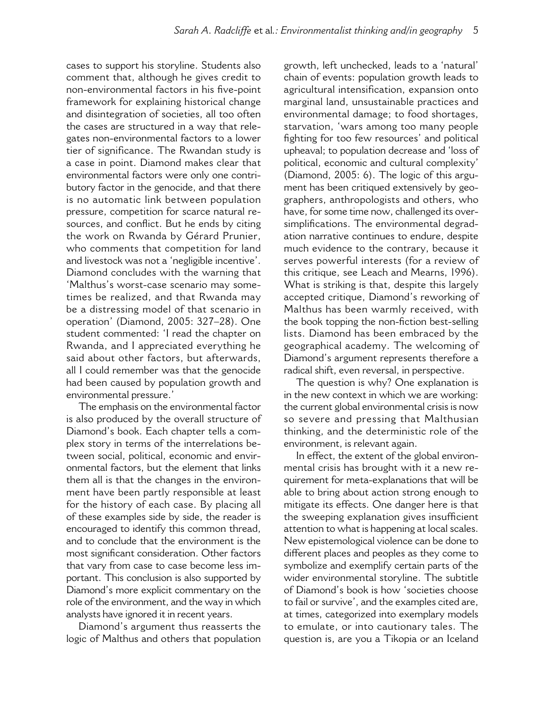cases to support his storyline. Students also comment that, although he gives credit to non-environmental factors in his five-point framework for explaining historical change and disintegration of societies, all too often the cases are structured in a way that relegates non-environmental factors to a lower tier of significance. The Rwandan study is a case in point. Diamond makes clear that environmental factors were only one contributory factor in the genocide, and that there is no automatic link between population pressure, competition for scarce natural resources, and conflict. But he ends by citing the work on Rwanda by Gérard Prunier, who comments that competition for land and livestock was not a 'negligible incentive'. Diamond concludes with the warning that 'Malthus's worst-case scenario may sometimes be realized, and that Rwanda may be a distressing model of that scenario in operation' (Diamond, 2005: 327–28). One student commented: 'I read the chapter on Rwanda, and I appreciated everything he said about other factors, but afterwards, all I could remember was that the genocide had been caused by population growth and environmental pressure.'

The emphasis on the environmental factor is also produced by the overall structure of Diamond's book. Each chapter tells a complex story in terms of the interrelations between social, political, economic and environmental factors, but the element that links them all is that the changes in the environment have been partly responsible at least for the history of each case. By placing all of these examples side by side, the reader is encouraged to identify this common thread, and to conclude that the environment is the most significant consideration. Other factors that vary from case to case become less important. This conclusion is also supported by Diamond's more explicit commentary on the role of the environment, and the way in which analysts have ignored it in recent years.

Diamond's argument thus reasserts the logic of Malthus and others that population growth, left unchecked, leads to a 'natural' chain of events: population growth leads to agricultural intensification, expansion onto marginal land, unsustainable practices and environmental damage; to food shortages, starvation, 'wars among too many people fighting for too few resources' and political upheaval; to population decrease and 'loss of political, economic and cultural complexity' (Diamond, 2005: 6). The logic of this argument has been critiqued extensively by geographers, anthropologists and others, who have, for some time now, challenged its oversimplifications. The environmental degradation narrative continues to endure, despite much evidence to the contrary, because it serves powerful interests (for a review of this critique, see Leach and Mearns, 1996). What is striking is that, despite this largely accepted critique, Diamond's reworking of Malthus has been warmly received, with the book topping the non-fiction best-selling lists. Diamond has been embraced by the geographical academy. The welcoming of Diamond's argument represents therefore a radical shift, even reversal, in perspective.

The question is why? One explanation is in the new context in which we are working: the current global environmental crisis is now so severe and pressing that Malthusian thinking, and the deterministic role of the environment, is relevant again.

In effect, the extent of the global environmental crisis has brought with it a new requirement for meta-explanations that will be able to bring about action strong enough to mitigate its effects. One danger here is that the sweeping explanation gives insufficient attention to what is happening at local scales. New epistemological violence can be done to different places and peoples as they come to symbolize and exemplify certain parts of the wider environmental storyline. The subtitle of Diamond's book is how 'societies choose to fail or survive', and the examples cited are, at times, categorized into exemplary models to emulate, or into cautionary tales. The question is, are you a Tikopia or an Iceland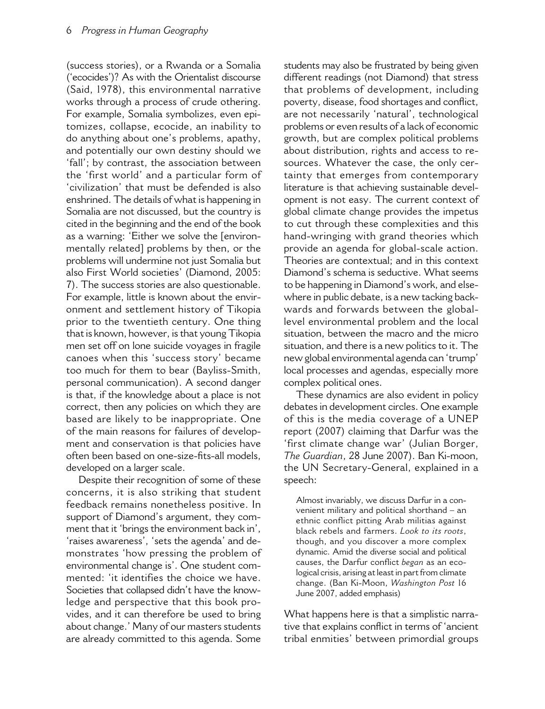(success stories), or a Rwanda or a Somalia ('ecocides')? As with the Orientalist discourse (Said, 1978), this environmental narrative works through a process of crude othering. For example, Somalia symbolizes, even epitomizes, collapse, ecocide, an inability to do anything about one's problems, apathy, and potentially our own destiny should we 'fall'; by contrast, the association between the 'first world' and a particular form of 'civilization' that must be defended is also enshrined. The details of what is happening in Somalia are not discussed, but the country is cited in the beginning and the end of the book as a warning: 'Either we solve the [environmentally related] problems by then, or the problems will undermine not just Somalia but also First World societies' (Diamond, 2005: 7). The success stories are also questionable. For example, little is known about the environment and settlement history of Tikopia prior to the twentieth century. One thing that is known, however, is that young Tikopia men set off on lone suicide voyages in fragile canoes when this 'success story' became too much for them to bear (Bayliss-Smith, personal communication). A second danger is that, if the knowledge about a place is not correct, then any policies on which they are based are likely to be inappropriate. One of the main reasons for failures of development and conservation is that policies have often been based on one-size-fits-all models, developed on a larger scale.

Despite their recognition of some of these concerns, it is also striking that student feedback remains nonetheless positive. In support of Diamond's argument, they comment that it 'brings the environment back in', 'raises awareness', 'sets the agenda' and demonstrates 'how pressing the problem of environmental change is'. One student commented: 'it identifies the choice we have. Societies that collapsed didn't have the knowledge and perspective that this book provides, and it can therefore be used to bring about change.' Many of our masters students are already committed to this agenda. Some

students may also be frustrated by being given different readings (not Diamond) that stress that problems of development, including poverty, disease, food shortages and conflict, are not necessarily 'natural', technological problems or even results of a lack of economic growth, but are complex political problems about distribution, rights and access to resources. Whatever the case, the only certainty that emerges from contemporary literature is that achieving sustainable development is not easy. The current context of global climate change provides the impetus to cut through these complexities and this hand-wringing with grand theories which provide an agenda for global-scale action. Theories are contextual; and in this context Diamond's schema is seductive. What seems to be happening in Diamond's work, and elsewhere in public debate, is a new tacking backwards and forwards between the globallevel environmental problem and the local situation, between the macro and the micro situation, and there is a new politics to it. The new global environmental agenda can 'trump' local processes and agendas, especially more complex political ones.

These dynamics are also evident in policy debates in development circles. One example of this is the media coverage of a UNEP report (2007) claiming that Darfur was the 'first climate change war' (Julian Borger, *The Guardian*, 28 June 2007). Ban Ki-moon, the UN Secretary-General, explained in a speech:

Almost invariably, we discuss Darfur in a convenient military and political shorthand – an ethnic conflict pitting Arab militias against black rebels and farmers. *Look to its roots*, though, and you discover a more complex dynamic. Amid the diverse social and political causes, the Darfur conflict *began* as an ecological crisis, arising at least in part from climate change. (Ban Ki-Moon, *Washington Post* 16 June 2007, added emphasis)

What happens here is that a simplistic narrative that explains conflict in terms of 'ancient tribal enmities' between primordial groups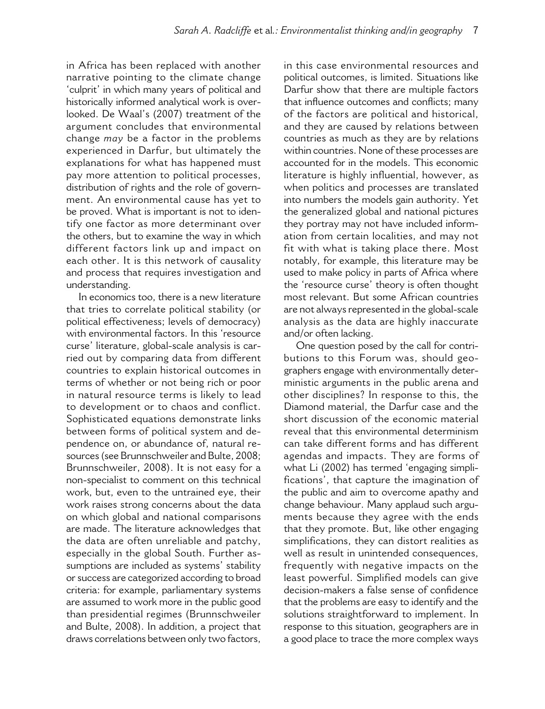in Africa has been replaced with another narrative pointing to the climate change 'culprit' in which many years of political and historically informed analytical work is overlooked. De Waal's (2007) treatment of the argument concludes that environmental change *may* be a factor in the problems experienced in Darfur, but ultimately the explanations for what has happened must pay more attention to political processes, distribution of rights and the role of government. An environmental cause has yet to be proved. What is important is not to identify one factor as more determinant over the others, but to examine the way in which different factors link up and impact on each other. It is this network of causality and process that requires investigation and understanding.

In economics too, there is a new literature that tries to correlate political stability (or political effectiveness; levels of democracy) with environmental factors. In this 'resource curse' literature, global-scale analysis is carried out by comparing data from different countries to explain historical outcomes in terms of whether or not being rich or poor in natural resource terms is likely to lead to development or to chaos and conflict. Sophisticated equations demonstrate links between forms of political system and dependence on, or abundance of, natural resources (see Brunnschweiler and Bulte, 2008; Brunnschweiler, 2008). It is not easy for a non-specialist to comment on this technical work, but, even to the untrained eye, their work raises strong concerns about the data on which global and national comparisons are made. The literature acknowledges that the data are often unreliable and patchy, especially in the global South. Further assumptions are included as systems' stability or success are categorized according to broad criteria: for example, parliamentary systems are assumed to work more in the public good than presidential regimes (Brunnschweiler and Bulte, 2008). In addition, a project that draws correlations between only two factors, in this case environmental resources and political outcomes, is limited. Situations like Darfur show that there are multiple factors that influence outcomes and conflicts; many of the factors are political and historical, and they are caused by relations between countries as much as they are by relations within countries. None of these processes are accounted for in the models. This economic literature is highly influential, however, as when politics and processes are translated into numbers the models gain authority. Yet the generalized global and national pictures they portray may not have included information from certain localities, and may not fit with what is taking place there. Most notably, for example, this literature may be used to make policy in parts of Africa where the 'resource curse' theory is often thought most relevant. But some African countries are not always represented in the global-scale analysis as the data are highly inaccurate and/or often lacking.

One question posed by the call for contributions to this Forum was, should geographers engage with environmentally deterministic arguments in the public arena and other disciplines? In response to this, the Diamond material, the Darfur case and the short discussion of the economic material reveal that this environmental determinism can take different forms and has different agendas and impacts. They are forms of what Li (2002) has termed 'engaging simplifications', that capture the imagination of the public and aim to overcome apathy and change behaviour. Many applaud such arguments because they agree with the ends that they promote. But, like other engaging simplifications, they can distort realities as well as result in unintended consequences, frequently with negative impacts on the least powerful. Simplified models can give decision-makers a false sense of confidence that the problems are easy to identify and the solutions straightforward to implement. In response to this situation, geographers are in a good place to trace the more complex ways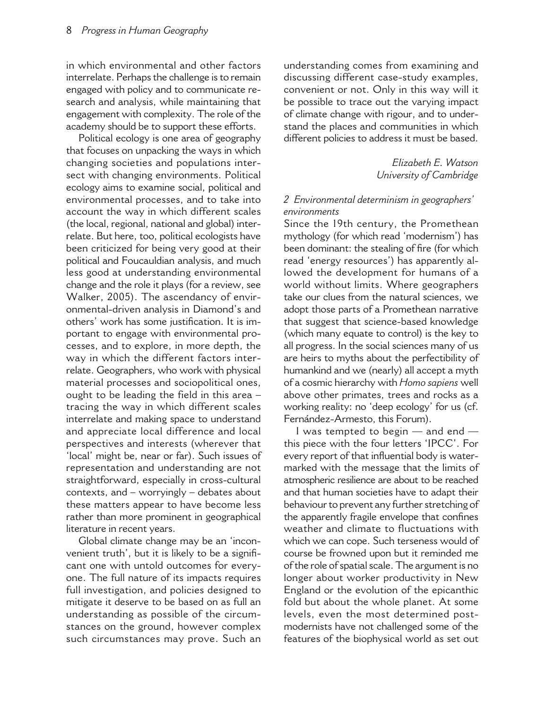in which environmental and other factors interrelate. Perhaps the challenge is to remain engaged with policy and to communicate research and analysis, while maintaining that engagement with complexity. The role of the academy should be to support these efforts.

Political ecology is one area of geography that focuses on unpacking the ways in which changing societies and populations intersect with changing environments. Political ecology aims to examine social, political and environmental processes, and to take into account the way in which different scales (the local, regional, national and global) interrelate. But here, too, political ecologists have been criticized for being very good at their political and Foucauldian analysis, and much less good at understanding environmental change and the role it plays (for a review, see Walker, 2005). The ascendancy of environmental-driven analysis in Diamond's and others' work has some justification. It is important to engage with environmental processes, and to explore, in more depth, the way in which the different factors interrelate. Geographers, who work with physical material processes and sociopolitical ones, ought to be leading the field in this area – tracing the way in which different scales interrelate and making space to understand and appreciate local difference and local perspectives and interests (wherever that 'local' might be, near or far). Such issues of representation and understanding are not straightforward, especially in cross-cultural contexts, and – worryingly – debates about these matters appear to have become less rather than more prominent in geographical literature in recent years.

Global climate change may be an 'inconvenient truth', but it is likely to be a significant one with untold outcomes for everyone. The full nature of its impacts requires full investigation, and policies designed to mitigate it deserve to be based on as full an understanding as possible of the circumstances on the ground, however complex such circumstances may prove. Such an understanding comes from examining and discussing different case-study examples, convenient or not. Only in this way will it be possible to trace out the varying impact of climate change with rigour, and to understand the places and communities in which different policies to address it must be based.

> *Elizabeth E. Watson University of Cambridge*

#### *2 Environmental determinism in geographers' environments*

Since the 19th century, the Promethean mythology (for which read 'modernism') has been dominant: the stealing of fire (for which read 'energy resources') has apparently allowed the development for humans of a world without limits. Where geographers take our clues from the natural sciences, we adopt those parts of a Promethean narrative that suggest that science-based knowledge (which many equate to control) is the key to all progress. In the social sciences many of us are heirs to myths about the perfectibility of humankind and we (nearly) all accept a myth of a cosmic hierarchy with *Homo sapiens* well above other primates, trees and rocks as a working reality: no 'deep ecology' for us (cf. Fernández-Armesto, this Forum).

I was tempted to begin — and end this piece with the four letters 'IPCC'. For every report of that influential body is watermarked with the message that the limits of atmospheric resilience are about to be reached and that human societies have to adapt their behaviour to prevent any further stretching of the apparently fragile envelope that confines weather and climate to fluctuations with which we can cope. Such terseness would of course be frowned upon but it reminded me of the role of spatial scale. The argument is no longer about worker productivity in New England or the evolution of the epicanthic fold but about the whole planet. At some levels, even the most determined postmodernists have not challenged some of the features of the biophysical world as set out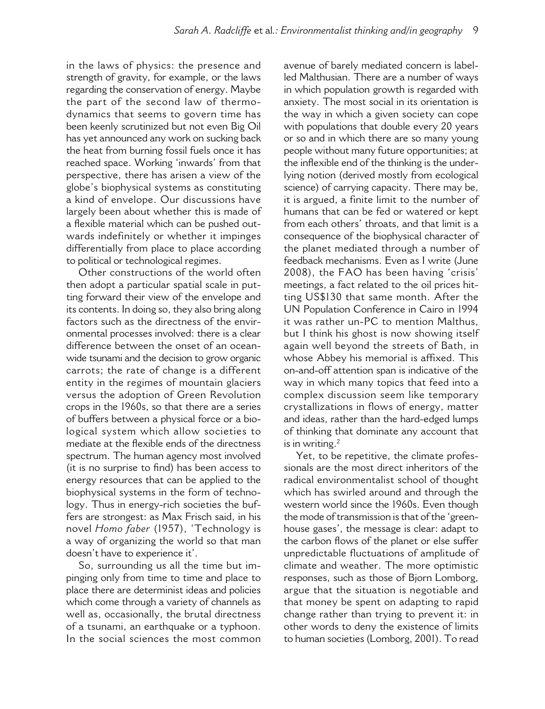in the laws of physics: the presence and strength of gravity, for example, or the laws regarding the conservation of energy. Maybe the part of the second law of thermodynamics that seems to govern time has been keenly scrutinized but not even Big Oil has yet announced any work on sucking back the heat from burning fossil fuels once it has reached space. Working 'inwards' from that perspective, there has arisen a view of the globe's biophysical systems as constituting a kind of envelope. Our discussions have largely been about whether this is made of a flexible material which can be pushed outwards indefinitely or whether it impinges differentially from place to place according to political or technological regimes.

Other constructions of the world often then adopt a particular spatial scale in putting forward their view of the envelope and its contents. In doing so, they also bring along factors such as the directness of the environmental processes involved: there is a clear difference between the onset of an oceanwide tsunami and the decision to grow organic carrots; the rate of change is a different entity in the regimes of mountain glaciers versus the adoption of Green Revolution crops in the 1960s, so that there are a series of buffers between a physical force or a biological system which allow societies to mediate at the flexible ends of the directness spectrum. The human agency most involved (it is no surprise to find) has been access to energy resources that can be applied to the biophysical systems in the form of technology. Thus in energy-rich societies the buffers are strongest: as Max Frisch said, in his novel *Homo faber* (1957), 'Technology is a way of organizing the world so that man doesn't have to experience it'.

So, surrounding us all the time but impinging only from time to time and place to place there are determinist ideas and policies which come through a variety of channels as well as, occasionally, the brutal directness of a tsunami, an earthquake or a typhoon. In the social sciences the most common

avenue of barely mediated concern is labelled Malthusian. There are a number of ways in which population growth is regarded with anxiety. The most social in its orientation is the way in which a given society can cope with populations that double every 20 years or so and in which there are so many young people without many future opportunities; at the inflexible end of the thinking is the underlying notion (derived mostly from ecological science) of carrying capacity. There may be, it is argued, a finite limit to the number of humans that can be fed or watered or kept from each others' throats, and that limit is a consequence of the biophysical character of the planet mediated through a number of feedback mechanisms. Even as I write (June 2008), the FAO has been having 'crisis' meetings, a fact related to the oil prices hitting US\$130 that same month. After the UN Population Conference in Cairo in 1994 it was rather un-PC to mention Malthus, but I think his ghost is now showing itself again well beyond the streets of Bath, in whose Abbey his memorial is affixed. This on-and-off attention span is indicative of the way in which many topics that feed into a complex discussion seem like temporary crystallizations in flows of energy, matter and ideas, rather than the hard-edged lumps of thinking that dominate any account that is in writing.<sup>2</sup>

Yet, to be repetitive, the climate professionals are the most direct inheritors of the radical environmentalist school of thought which has swirled around and through the western world since the 1960s. Even though the mode of transmission is that of the 'greenhouse gases', the message is clear: adapt to the carbon flows of the planet or else suffer unpredictable fluctuations of amplitude of climate and weather. The more optimistic responses, such as those of Bjorn Lomborg, argue that the situation is negotiable and that money be spent on adapting to rapid change rather than trying to prevent it: in other words to deny the existence of limits to human societies (Lomborg, 2001). To read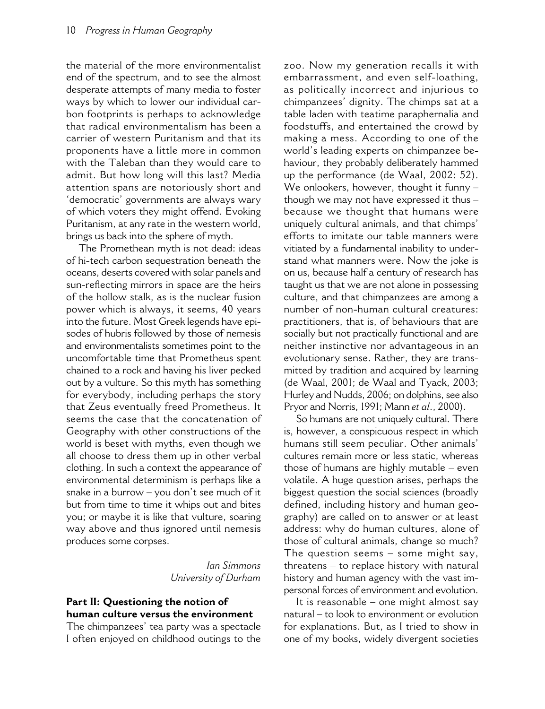the material of the more environmentalist end of the spectrum, and to see the almost desperate attempts of many media to foster ways by which to lower our individual carbon footprints is perhaps to acknowledge that radical environmentalism has been a carrier of western Puritanism and that its proponents have a little more in common with the Taleban than they would care to admit. But how long will this last? Media attention spans are notoriously short and 'democratic' governments are always wary of which voters they might offend. Evoking Puritanism, at any rate in the western world, brings us back into the sphere of myth.

The Promethean myth is not dead: ideas of hi-tech carbon sequestration beneath the oceans, deserts covered with solar panels and sun-reflecting mirrors in space are the heirs of the hollow stalk, as is the nuclear fusion power which is always, it seems, 40 years into the future. Most Greek legends have episodes of hubris followed by those of nemesis and environmentalists sometimes point to the uncomfortable time that Prometheus spent chained to a rock and having his liver pecked out by a vulture. So this myth has something for everybody, including perhaps the story that Zeus eventually freed Prometheus. It seems the case that the concatenation of Geography with other constructions of the world is beset with myths, even though we all choose to dress them up in other verbal clothing. In such a context the appearance of environmental determinism is perhaps like a snake in a burrow – you don't see much of it but from time to time it whips out and bites you; or maybe it is like that vulture, soaring way above and thus ignored until nemesis produces some corpses.

> *Ian Simmons University of Durham*

#### **Part II: Questioning the notion of human culture versus the environment**

The chimpanzees' tea party was a spectacle I often enjoyed on childhood outings to the zoo. Now my generation recalls it with embarrassment, and even self-loathing, as politically incorrect and injurious to chimpanzees' dignity. The chimps sat at a table laden with teatime paraphernalia and foodstuffs, and entertained the crowd by making a mess. According to one of the world's leading experts on chimpanzee behaviour, they probably deliberately hammed up the performance (de Waal, 2002: 52). We onlookers, however, thought it funny though we may not have expressed it thus – because we thought that humans were uniquely cultural animals, and that chimps' efforts to imitate our table manners were vitiated by a fundamental inability to understand what manners were. Now the joke is on us, because half a century of research has taught us that we are not alone in possessing culture, and that chimpanzees are among a number of non-human cultural creatures: practitioners, that is, of behaviours that are socially but not practically functional and are neither instinctive nor advantageous in an evolutionary sense. Rather, they are transmitted by tradition and acquired by learning (de Waal, 2001; de Waal and Tyack, 2003; Hurley and Nudds, 2006; on dolphins, see also Pryor and Norris, 1991; Mann *et al*., 2000).

So humans are not uniquely cultural. There is, however, a conspicuous respect in which humans still seem peculiar. Other animals' cultures remain more or less static, whereas those of humans are highly mutable – even volatile. A huge question arises, perhaps the biggest question the social sciences (broadly defined, including history and human geography) are called on to answer or at least address: why do human cultures, alone of those of cultural animals, change so much? The question seems – some might say, threatens – to replace history with natural history and human agency with the vast impersonal forces of environment and evolution.

It is reasonable – one might almost say natural – to look to environment or evolution for explanations. But, as I tried to show in one of my books, widely divergent societies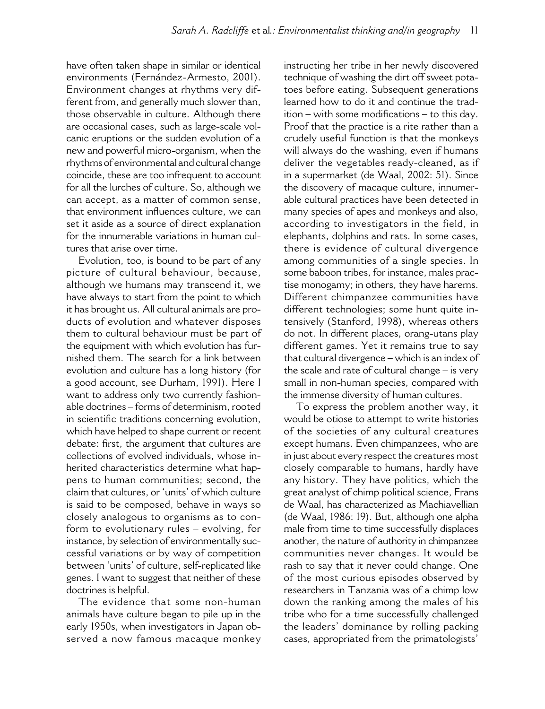have often taken shape in similar or identical environments (Fernández-Armesto, 2001). Environment changes at rhythms very different from, and generally much slower than, those observable in culture. Although there are occasional cases, such as large-scale volcanic eruptions or the sudden evolution of a new and powerful micro-organism, when the rhythms of environmental and cultural change coincide, these are too infrequent to account for all the lurches of culture. So, although we can accept, as a matter of common sense, that environment influences culture, we can set it aside as a source of direct explanation for the innumerable variations in human cultures that arise over time.

Evolution, too, is bound to be part of any picture of cultural behaviour, because, although we humans may transcend it, we have always to start from the point to which it has brought us. All cultural animals are products of evolution and whatever disposes them to cultural behaviour must be part of the equipment with which evolution has furnished them. The search for a link between evolution and culture has a long history (for a good account, see Durham, 1991). Here I want to address only two currently fashionable doctrines – forms of determinism, rooted in scientific traditions concerning evolution, which have helped to shape current or recent debate: first, the argument that cultures are collections of evolved individuals, whose inherited characteristics determine what happens to human communities; second, the claim that cultures, or 'units' of which culture is said to be composed, behave in ways so closely analogous to organisms as to conform to evolutionary rules – evolving, for instance, by selection of environmentally successful variations or by way of competition between 'units' of culture, self-replicated like genes. I want to suggest that neither of these doctrines is helpful.

The evidence that some non-human animals have culture began to pile up in the early 1950s, when investigators in Japan observed a now famous macaque monkey instructing her tribe in her newly discovered technique of washing the dirt off sweet potatoes before eating. Subsequent generations learned how to do it and continue the trad $ition - with some modifications - to this day.$ Proof that the practice is a rite rather than a crudely useful function is that the monkeys will always do the washing, even if humans deliver the vegetables ready-cleaned, as if in a supermarket (de Waal, 2002: 51). Since the discovery of macaque culture, innumerable cultural practices have been detected in many species of apes and monkeys and also, according to investigators in the field, in elephants, dolphins and rats. In some cases, there is evidence of cultural divergence among communities of a single species. In some baboon tribes, for instance, males practise monogamy; in others, they have harems. Different chimpanzee communities have different technologies; some hunt quite intensively (Stanford, 1998), whereas others do not. In different places, orang-utans play different games. Yet it remains true to say that cultural divergence – which is an index of the scale and rate of cultural change – is very small in non-human species, compared with the immense diversity of human cultures.

To express the problem another way, it would be otiose to attempt to write histories of the societies of any cultural creatures except humans. Even chimpanzees, who are in just about every respect the creatures most closely comparable to humans, hardly have any history. They have politics, which the great analyst of chimp political science, Frans de Waal, has characterized as Machiavellian (de Waal, 1986: 19). But, although one alpha male from time to time successfully displaces another, the nature of authority in chimpanzee communities never changes. It would be rash to say that it never could change. One of the most curious episodes observed by researchers in Tanzania was of a chimp low down the ranking among the males of his tribe who for a time successfully challenged the leaders' dominance by rolling packing cases, appropriated from the primatologists'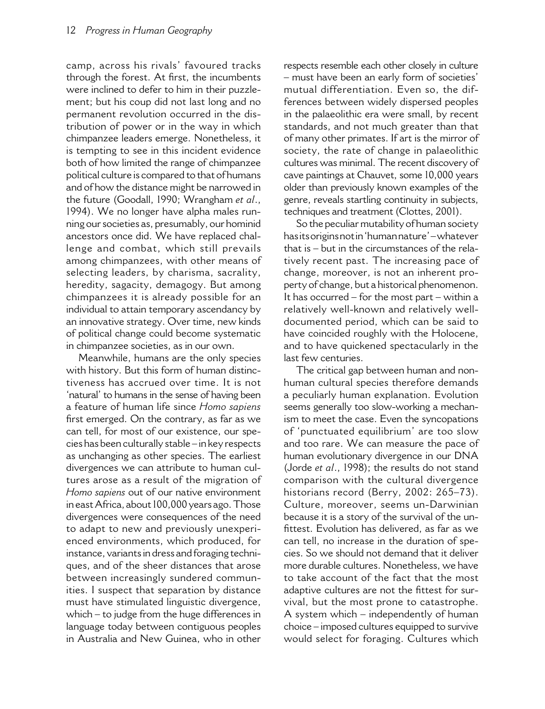camp, across his rivals' favoured tracks through the forest. At first, the incumbents were inclined to defer to him in their puzzlement; but his coup did not last long and no permanent revolution occurred in the distribution of power or in the way in which chimpanzee leaders emerge. Nonetheless, it is tempting to see in this incident evidence both of how limited the range of chimpanzee political culture is compared to that of humans and of how the distance might be narrowed in the future (Goodall, 1990; Wrangham *et al*., 1994). We no longer have alpha males running our societies as, presumably, our hominid ancestors once did. We have replaced challenge and combat, which still prevails among chimpanzees, with other means of selecting leaders, by charisma, sacrality, heredity, sagacity, demagogy. But among chimpanzees it is already possible for an individual to attain temporary ascendancy by an innovative strategy. Over time, new kinds of political change could become systematic in chimpanzee societies, as in our own.

Meanwhile, humans are the only species with history. But this form of human distinctiveness has accrued over time. It is not 'natural' to humans in the sense of having been a feature of human life since *Homo sapiens* first emerged. On the contrary, as far as we can tell, for most of our existence, our species has been culturally stable – in key respects as unchanging as other species. The earliest divergences we can attribute to human cultures arose as a result of the migration of *Homo sapiens* out of our native environment in east Africa, about 100,000 years ago. Those divergences were consequences of the need to adapt to new and previously unexperienced environments, which produced, for instance, variants in dress and foraging techniques, and of the sheer distances that arose between increasingly sundered communities. I suspect that separation by distance must have stimulated linguistic divergence, which – to judge from the huge differences in language today between contiguous peoples in Australia and New Guinea, who in other

respects resemble each other closely in culture – must have been an early form of societies' mutual differentiation. Even so, the differences between widely dispersed peoples in the palaeolithic era were small, by recent standards, and not much greater than that of many other primates. If art is the mirror of society, the rate of change in palaeolithic cultures was minimal. The recent discovery of cave paintings at Chauvet, some 10,000 years older than previously known examples of the genre, reveals startling continuity in subjects, techniques and treatment (Clottes, 2001).

So the peculiar mutability of human society has its origins not in 'human nature' – whatever that is – but in the circumstances of the relatively recent past. The increasing pace of change, moreover, is not an inherent property of change, but a historical phenomenon. It has occurred – for the most part – within a relatively well-known and relatively welldocumented period, which can be said to have coincided roughly with the Holocene, and to have quickened spectacularly in the last few centuries.

The critical gap between human and nonhuman cultural species therefore demands a peculiarly human explanation. Evolution seems generally too slow-working a mechanism to meet the case. Even the syncopations of 'punctuated equilibrium' are too slow and too rare. We can measure the pace of human evolutionary divergence in our DNA (Jorde *et al*., 1998); the results do not stand comparison with the cultural divergence historians record (Berry, 2002: 265–73). Culture, moreover, seems un-Darwinian because it is a story of the survival of the unfittest. Evolution has delivered, as far as we can tell, no increase in the duration of species. So we should not demand that it deliver more durable cultures. Nonetheless, we have to take account of the fact that the most adaptive cultures are not the fittest for survival, but the most prone to catastrophe. A system which – independently of human choice – imposed cultures equipped to survive would select for foraging. Cultures which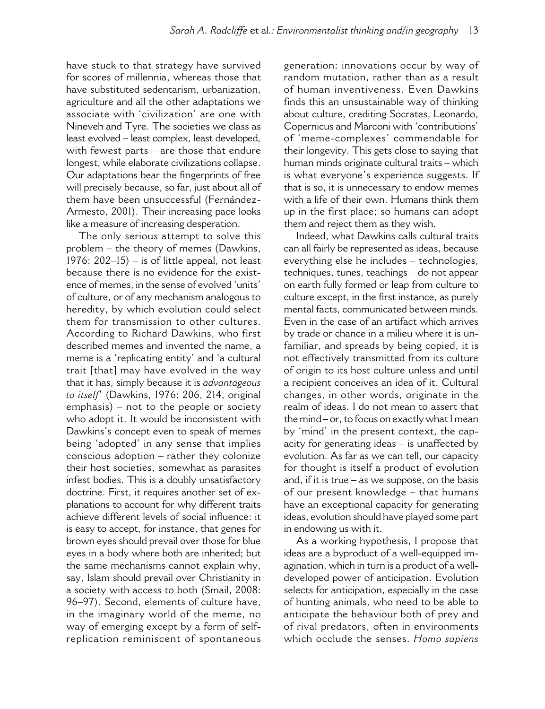have stuck to that strategy have survived for scores of millennia, whereas those that have substituted sedentarism, urbanization, agriculture and all the other adaptations we associate with 'civilization' are one with Nineveh and Tyre. The societies we class as least evolved – least complex, least developed, with fewest parts – are those that endure longest, while elaborate civilizations collapse. Our adaptations bear the fingerprints of free will precisely because, so far, just about all of them have been unsuccessful (Fernández-Armesto, 2001). Their increasing pace looks like a measure of increasing desperation.

The only serious attempt to solve this problem – the theory of memes (Dawkins, 1976:  $202-15$ ) – is of little appeal, not least because there is no evidence for the existence of memes, in the sense of evolved 'units' of culture, or of any mechanism analogous to heredity, by which evolution could select them for transmission to other cultures. According to Richard Dawkins, who first described memes and invented the name, a meme is a 'replicating entity' and 'a cultural trait [that] may have evolved in the way that it has, simply because it is *advantageous to itself*' (Dawkins, 1976: 206, 214, original emphasis) – not to the people or society who adopt it. It would be inconsistent with Dawkins's concept even to speak of memes being 'adopted' in any sense that implies conscious adoption – rather they colonize their host societies, somewhat as parasites infest bodies. This is a doubly unsatisfactory doctrine. First, it requires another set of explanations to account for why different traits achieve different levels of social influence: it is easy to accept, for instance, that genes for brown eyes should prevail over those for blue eyes in a body where both are inherited; but the same mechanisms cannot explain why, say, Islam should prevail over Christianity in a society with access to both (Smail, 2008: 96–97). Second, elements of culture have, in the imaginary world of the meme, no way of emerging except by a form of selfreplication reminiscent of spontaneous generation: innovations occur by way of random mutation, rather than as a result of human inventiveness. Even Dawkins finds this an unsustainable way of thinking about culture, crediting Socrates, Leonardo, Copernicus and Marconi with 'contributions' of 'meme-complexes' commendable for their longevity. This gets close to saying that human minds originate cultural traits – which is what everyone's experience suggests. If that is so, it is unnecessary to endow memes with a life of their own. Humans think them up in the first place; so humans can adopt them and reject them as they wish.

Indeed, what Dawkins calls cultural traits can all fairly be represented as ideas, because everything else he includes – technologies, techniques, tunes, teachings – do not appear on earth fully formed or leap from culture to culture except, in the first instance, as purely mental facts, communicated between minds. Even in the case of an artifact which arrives by trade or chance in a milieu where it is unfamiliar, and spreads by being copied, it is not effectively transmitted from its culture of origin to its host culture unless and until a recipient conceives an idea of it. Cultural changes, in other words, originate in the realm of ideas. I do not mean to assert that the mind – or, to focus on exactly what I mean by 'mind' in the present context, the capacity for generating ideas – is unaffected by evolution. As far as we can tell, our capacity for thought is itself a product of evolution and, if it is true – as we suppose, on the basis of our present knowledge – that humans have an exceptional capacity for generating ideas, evolution should have played some part in endowing us with it.

As a working hypothesis, I propose that ideas are a byproduct of a well-equipped imagination, which in turn is a product of a welldeveloped power of anticipation. Evolution selects for anticipation, especially in the case of hunting animals, who need to be able to anticipate the behaviour both of prey and of rival predators, often in environments which occlude the senses. *Homo sapiens*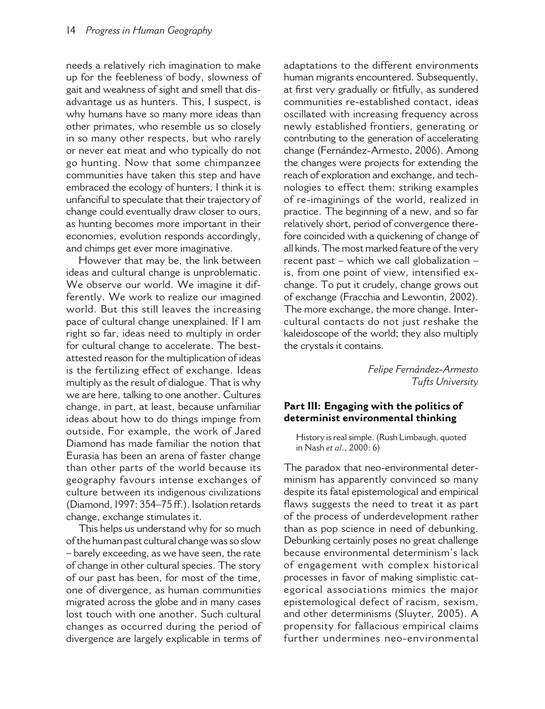needs a relatively rich imagination to make up for the feebleness of body, slowness of gait and weakness of sight and smell that disadvantage us as hunters. This, I suspect, is why humans have so many more ideas than other primates, who resemble us so closely in so many other respects, but who rarely or never eat meat and who typically do not go hunting. Now that some chimpanzee communities have taken this step and have embraced the ecology of hunters, I think it is unfanciful to speculate that their trajectory of change could eventually draw closer to ours, as hunting becomes more important in their economies, evolution responds accordingly, and chimps get ever more imaginative.

However that may be, the link between ideas and cultural change is unproblematic. We observe our world. We imagine it differently. We work to realize our imagined world. But this still leaves the increasing pace of cultural change unexplained. If I am right so far, ideas need to multiply in order for cultural change to accelerate. The bestattested reason for the multiplication of ideas is the fertilizing effect of exchange. Ideas multiply as the result of dialogue. That is why we are here, talking to one another. Cultures change, in part, at least, because unfamiliar ideas about how to do things impinge from outside. For example, the work of Jared Diamond has made familiar the notion that Eurasia has been an arena of faster change than other parts of the world because its geography favours intense exchanges of culture between its indigenous civilizations (Diamond, 1997: 354–75 ff.). Isolation retards change, exchange stimulates it.

This helps us understand why for so much of the human past cultural change was so slow – barely exceeding, as we have seen, the rate of change in other cultural species. The story of our past has been, for most of the time, one of divergence, as human communities migrated across the globe and in many cases lost touch with one another. Such cultural changes as occurred during the period of divergence are largely explicable in terms of

adaptations to the different environments human migrants encountered. Subsequently, at first very gradually or fitfully, as sundered communities re-established contact, ideas oscillated with increasing frequency across newly established frontiers, generating or contributing to the generation of accelerating change (Fernández-Armesto, 2006). Among the changes were projects for extending the reach of exploration and exchange, and technologies to effect them: striking examples of re-imaginings of the world, realized in practice. The beginning of a new, and so far relatively short, period of convergence therefore coincided with a quickening of change of all kinds. The most marked feature of the very recent past – which we call globalization – is, from one point of view, intensified exchange. To put it crudely, change grows out of exchange (Fracchia and Lewontin, 2002). The more exchange, the more change. Intercultural contacts do not just reshake the kaleidoscope of the world; they also multiply the crystals it contains.

> *Felipe Fernández-Armesto Tufts University*

#### **Part III: Engaging with the politics of determinist environmental thinking**

History is real simple. (Rush Limbaugh, quoted in Nash *et al*., 2000: 6)

The paradox that neo-environmental determinism has apparently convinced so many despite its fatal epistemological and empirical flaws suggests the need to treat it as part of the process of underdevelopment rather than as pop science in need of debunking. Debunking certainly poses no great challenge because environmental determinism's lack of engagement with complex historical processes in favor of making simplistic categorical associations mimics the major epistemological defect of racism, sexism, and other determinisms (Sluyter, 2005). A propensity for fallacious empirical claims further undermines neo-environmental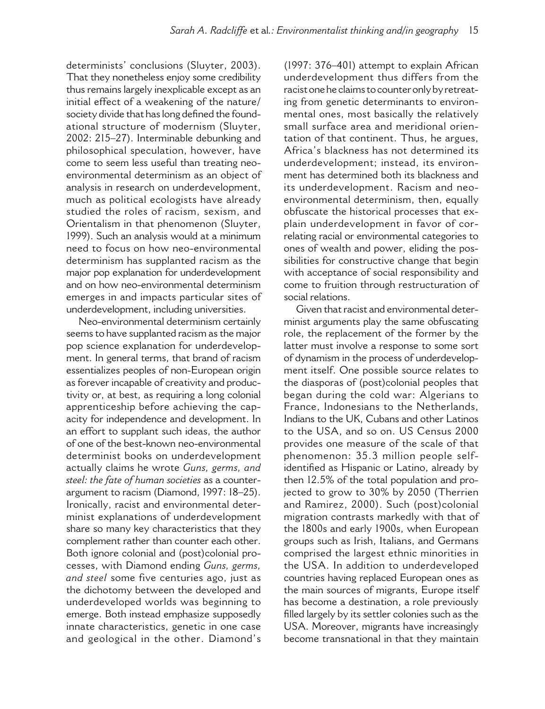determinists' conclusions (Sluyter, 2003). That they nonetheless enjoy some credibility thus remains largely inexplicable except as an initial effect of a weakening of the nature/ society divide that has long defined the foundational structure of modernism (Sluyter, 2002: 215–27). Interminable debunking and philosophical speculation, however, have come to seem less useful than treating neoenvironmental determinism as an object of analysis in research on underdevelopment, much as political ecologists have already studied the roles of racism, sexism, and Orientalism in that phenomenon (Sluyter, 1999). Such an analysis would at a minimum need to focus on how neo-environmental determinism has supplanted racism as the major pop explanation for underdevelopment and on how neo-environmental determinism emerges in and impacts particular sites of underdevelopment, including universities.

Neo-environmental determinism certainly seems to have supplanted racism as the major pop science explanation for underdevelopment. In general terms, that brand of racism essentializes peoples of non-European origin as forever incapable of creativity and productivity or, at best, as requiring a long colonial apprenticeship before achieving the capacity for independence and development. In an effort to supplant such ideas, the author of one of the best-known neo-environmental determinist books on underdevelopment actually claims he wrote *Guns, germs, and steel: the fate of human societies* as a counterargument to racism (Diamond, 1997: 18–25). Ironically, racist and environmental determinist explanations of underdevelopment share so many key characteristics that they complement rather than counter each other. Both ignore colonial and (post)colonial processes, with Diamond ending *Guns, germs, and steel* some five centuries ago, just as the dichotomy between the developed and underdeveloped worlds was beginning to emerge. Both instead emphasize supposedly innate characteristics, genetic in one case and geological in the other. Diamond's (1997: 376–401) attempt to explain African underdevelopment thus differs from the racist one he claims to counter only by retreating from genetic determinants to environmental ones, most basically the relatively small surface area and meridional orientation of that continent. Thus, he argues, Africa's blackness has not determined its underdevelopment; instead, its environment has determined both its blackness and its underdevelopment. Racism and neoenvironmental determinism, then, equally obfuscate the historical processes that explain underdevelopment in favor of correlating racial or environmental categories to ones of wealth and power, eliding the possibilities for constructive change that begin with acceptance of social responsibility and come to fruition through restructuration of social relations.

Given that racist and environmental determinist arguments play the same obfuscating role, the replacement of the former by the latter must involve a response to some sort of dynamism in the process of underdevelopment itself. One possible source relates to the diasporas of (post)colonial peoples that began during the cold war: Algerians to France, Indonesians to the Netherlands, Indians to the UK, Cubans and other Latinos to the USA, and so on. US Census 2000 provides one measure of the scale of that phenomenon: 35.3 million people selfidentified as Hispanic or Latino, already by then 12.5% of the total population and projected to grow to 30% by 2050 (Therrien and Ramirez, 2000). Such (post)colonial migration contrasts markedly with that of the 1800s and early 1900s, when European groups such as Irish, Italians, and Germans comprised the largest ethnic minorities in the USA. In addition to underdeveloped countries having replaced European ones as the main sources of migrants, Europe itself has become a destination, a role previously filled largely by its settler colonies such as the USA. Moreover, migrants have increasingly become transnational in that they maintain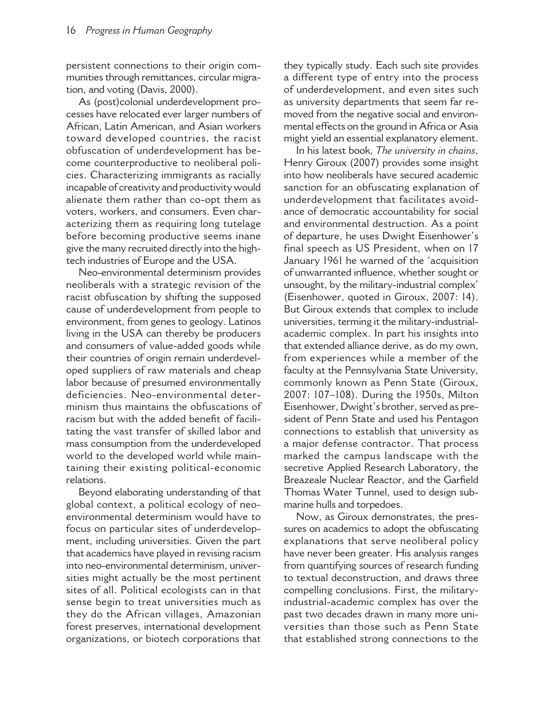persistent connections to their origin communities through remittances, circular migration, and voting (Davis, 2000).

As (post)colonial underdevelopment processes have relocated ever larger numbers of African, Latin American, and Asian workers toward developed countries, the racist obfuscation of underdevelopment has become counterproductive to neoliberal policies. Characterizing immigrants as racially incapable of creativity and productivity would alienate them rather than co-opt them as voters, workers, and consumers. Even characterizing them as requiring long tutelage before becoming productive seems inane give the many recruited directly into the hightech industries of Europe and the USA.

Neo-environmental determinism provides neoliberals with a strategic revision of the racist obfuscation by shifting the supposed cause of underdevelopment from people to environment, from genes to geology. Latinos living in the USA can thereby be producers and consumers of value-added goods while their countries of origin remain underdeveloped suppliers of raw materials and cheap labor because of presumed environmentally deficiencies. Neo-environmental determinism thus maintains the obfuscations of racism but with the added benefit of facilitating the vast transfer of skilled labor and mass consumption from the underdeveloped world to the developed world while maintaining their existing political-economic relations.

Beyond elaborating understanding of that global context, a political ecology of neoenvironmental determinism would have to focus on particular sites of underdevelopment, including universities. Given the part that academics have played in revising racism into neo-environmental determinism, universities might actually be the most pertinent sites of all. Political ecologists can in that sense begin to treat universities much as they do the African villages, Amazonian forest preserves, international development organizations, or biotech corporations that they typically study. Each such site provides a different type of entry into the process of underdevelopment, and even sites such as university departments that seem far removed from the negative social and environmental effects on the ground in Africa or Asia might yield an essential explanatory element.

In his latest book, *The university in chains*, Henry Giroux (2007) provides some insight into how neoliberals have secured academic sanction for an obfuscating explanation of underdevelopment that facilitates avoidance of democratic accountability for social and environmental destruction. As a point of departure, he uses Dwight Eisenhower's final speech as US President, when on 17 January 1961 he warned of the 'acquisition of unwarranted influence, whether sought or unsought, by the military-industrial complex' (Eisenhower, quoted in Giroux, 2007: 14). But Giroux extends that complex to include universities, terming it the military-industrialacademic complex. In part his insights into that extended alliance derive, as do my own, from experiences while a member of the faculty at the Pennsylvania State University, commonly known as Penn State (Giroux, 2007: 107–108). During the 1950s, Milton Eisenhower, Dwight's brother, served as president of Penn State and used his Pentagon connections to establish that university as a major defense contractor. That process marked the campus landscape with the secretive Applied Research Laboratory, the Breazeale Nuclear Reactor, and the Garfield Thomas Water Tunnel, used to design submarine hulls and torpedoes.

Now, as Giroux demonstrates, the pressures on academics to adopt the obfuscating explanations that serve neoliberal policy have never been greater. His analysis ranges from quantifying sources of research funding to textual deconstruction, and draws three compelling conclusions. First, the militaryindustrial-academic complex has over the past two decades drawn in many more universities than those such as Penn State that established strong connections to the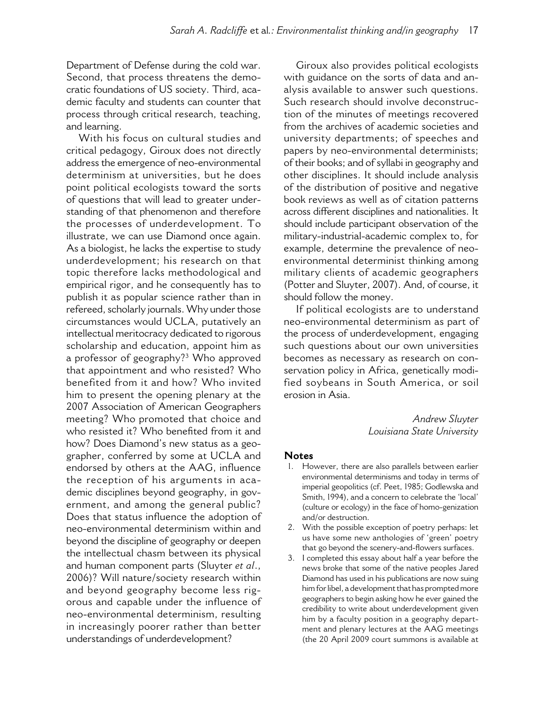Department of Defense during the cold war. Second, that process threatens the democratic foundations of US society. Third, academic faculty and students can counter that process through critical research, teaching, and learning.

With his focus on cultural studies and critical pedagogy, Giroux does not directly address the emergence of neo-environmental determinism at universities, but he does point political ecologists toward the sorts of questions that will lead to greater understanding of that phenomenon and therefore the processes of underdevelopment. To illustrate, we can use Diamond once again. As a biologist, he lacks the expertise to study underdevelopment; his research on that topic therefore lacks methodological and empirical rigor, and he consequently has to publish it as popular science rather than in refereed, scholarly journals. Why under those circumstances would UCLA, putatively an intellectual meritocracy dedicated to rigorous scholarship and education, appoint him as a professor of geography?3 Who approved that appointment and who resisted? Who benefited from it and how? Who invited him to present the opening plenary at the 2007 Association of American Geographers meeting? Who promoted that choice and who resisted it? Who benefited from it and how? Does Diamond's new status as a geographer, conferred by some at UCLA and endorsed by others at the AAG, influence the reception of his arguments in academic disciplines beyond geography, in government, and among the general public? Does that status influence the adoption of neo-environmental determinism within and beyond the discipline of geography or deepen the intellectual chasm between its physical and human component parts (Sluyter *et al*., 2006)? Will nature/society research within and beyond geography become less rigorous and capable under the influence of neo-environmental determinism, resulting in increasingly poorer rather than better understandings of underdevelopment?

Giroux also provides political ecologists with guidance on the sorts of data and analysis available to answer such questions. Such research should involve deconstruction of the minutes of meetings recovered from the archives of academic societies and university departments; of speeches and papers by neo-environmental determinists; of their books; and of syllabi in geography and other disciplines. It should include analysis of the distribution of positive and negative book reviews as well as of citation patterns across different disciplines and nationalities. It should include participant observation of the military-industrial-academic complex to, for example, determine the prevalence of neoenvironmental determinist thinking among military clients of academic geographers (Potter and Sluyter, 2007). And, of course, it should follow the money.

If political ecologists are to understand neo-environmental determinism as part of the process of underdevelopment, engaging such questions about our own universities becomes as necessary as research on conservation policy in Africa, genetically modified soybeans in South America, or soil erosion in Asia.

> *Andrew Sluyter Louisiana State University*

#### **Notes**

- 1. However, there are also parallels between earlier environmental determinisms and today in terms of imperial geopolitics (cf. Peet, 1985; Godlewska and Smith, 1994), and a concern to celebrate the 'local' (culture or ecology) in the face of homo-genization and/or destruction.
- 2. With the possible exception of poetry perhaps: let us have some new anthologies of 'green' poetry that go beyond the scenery-and-flowers surfaces.
- 3. I completed this essay about half a year before the news broke that some of the native peoples Jared Diamond has used in his publications are now suing him for libel, a development that has prompted more geographers to begin asking how he ever gained the credibility to write about underdevelopment given him by a faculty position in a geography department and plenary lectures at the AAG meetings (the 20 April 2009 court summons is available at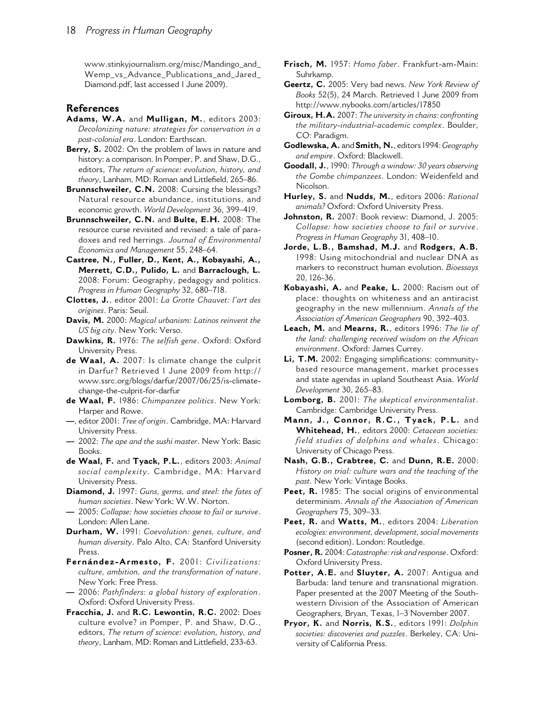www.stinkyjournalism.org/misc/Mandingo\_and\_ Wemp\_vs\_Advance\_Publications\_and\_Jared\_ Diamond.pdf, last accessed 1 June 2009).

#### **References**

- **Adams, W.A.** and **Mulligan, M.**, editors 2003: *Decolonizing nature: strategies for conservation in a post-colonial era*. London: Earthscan.
- **Berry, S.** 2002: On the problem of laws in nature and history: a comparison. In Pomper, P. and Shaw, D.G., editors, *The return of science: evolution, history, and*  theory, Lanham, MD: Roman and Littlefield, 265-86.
- **Brunnschweiler, C.N.** 2008: Cursing the blessings? Natural resource abundance, institutions, and economic growth. *World Development* 36, 399–419.
- **Brunnschweiler, C.N.** and **Bulte, E.H.** 2008: The resource curse revisited and revised: a tale of paradoxes and red herrings. *Journal of Environmental Economics and Management* 55, 248–64.
- **Castree, N., Fuller, D., Kent, A., Kobayashi, A., Merrett, C.D., Pulido, L.** and **Barraclough, L.** 2008: Forum: Geography, pedagogy and politics. *Progress in Human Geography* 32, 680–718.
- **Clottes, J.**, editor 2001: *La Grotte Chauvet: l'art des origines*. Paris: Seuil.
- **Davis, M.** 2000: *Magical urbanism: Latinos reinvent the US big city*. New York: Verso.
- **Dawkins, R.** 1976: *The selfish gene*. Oxford: Oxford University Press.
- **de Waal, A.** 2007: Is climate change the culprit in Darfur? Retrieved 1 June 2009 from http:// www.ssrc.org/blogs/darfur/2007/06/25/is-climatechange-the-culprit-for-darfur
- **de Waal, F.** 1986: *Chimpanzee politics*. New York: Harper and Rowe.
- **—**, editor 2001: *Tree of origin*. Cambridge, MA: Harvard University Press.
- **—** 2002: *The ape and the sushi master*. New York: Basic Books.
- **de Waal, F.** and **Tyack, P.L.**, editors 2003: *Animal social complexity*. Cambridge, MA: Harvard University Press.
- **Diamond, J.** 1997: *Guns, germs, and steel: the fates of human societies*. New York: W.W. Norton.
- **—** 2005: *Collapse: how societies choose to fail or survive*. London: Allen Lane.
- **Durham, W.** 1991: *Coevolution: genes, culture, and human diversity*. Palo Alto, CA: Stanford University Press.
- **Fernández-Armesto, F.** 2001: *Civilizations: culture, ambition, and the transformation of nature*. New York: Free Press.
- **—** 2006: *Pathfinders: a global history of exploration*. Oxford: Oxford University Press.
- **Fracchia, J.** and **R.C. Lewontin, R.C.** 2002: Does culture evolve? in Pomper, P. and Shaw, D.G., editors, *The return of science: evolution, history, and theory*, Lanham, MD: Roman and Littlefield, 233-63.
- **Frisch, M.** 1957: *Homo faber*. Frankfurt-am-Main: Suhrkamp.
- **Geertz, C.** 2005: Very bad news. *New York Review of Books* 52(5), 24 March. Retrieved 1 June 2009 from http://www.nybooks.com/articles/17850
- **Giroux, H.A.** 2007: *The university in chains: confronting the military-industrial-academic complex*. Boulder, CO: Paradigm.
- **Godlewska, A.** and **Smith, N.**, editors 1994: *Geography and empire*. Oxford: Blackwell.
- **Goodall, J.**, 1990: *Through a window: 30 years observing the Gombe chimpanzees*. London: Weidenfeld and Nicolson.
- **Hurley, S.** and **Nudds, M.**, editors 2006: *Rational animals?* Oxford: Oxford University Press.
- **Johnston, R.** 2007: Book review: Diamond, J. 2005: *Collapse: how societies choose to fail or survive*. *Progress in Human Geography* 31, 408–10.
- **Jorde, L.B., Bamshad, M.J.** and **Rodgers, A.B.**  1998: Using mitochondrial and nuclear DNA as markers to reconstruct human evolution. *Bioessays* 20, 126-36.
- **Kobayashi, A.** and **Peake, L.** 2000: Racism out of place: thoughts on whiteness and an antiracist geography in the new millennium. *Annals of the Association of American Geographers* 90, 392–403.
- **Leach, M.** and **Mearns, R.**, editors 1996: *The lie of the land: challenging received wisdom on the African environment*. Oxford: James Currey.
- Li, T.M. 2002: Engaging simplifications: communitybased resource management, market processes and state agendas in upland Southeast Asia. *World Development* 30, 265–83.
- **Lomborg, B.** 2001: *The skeptical environmentalist*. Cambridge: Cambridge University Press.
- **Mann, J., Connor, R.C., Tyack, P.L.** and **Whitehead, H.**, editors 2000: *Cetacean societies: field studies of dolphins and whales*. Chicago: University of Chicago Press.
- **Nash, G.B., Crabtree, C.** and **Dunn, R.E.** 2000: *History on trial: culture wars and the teaching of the past.* New York: Vintage Books.
- Peet, R. 1985: The social origins of environmental determinism. *Annals of the Association of American Geographers* 75, 309–33.
- **Peet, R.** and **Watts, M.**, editors 2004: *Liberation ecologies: environment, development, social movements*  (second edition). London: Routledge.
- **Posner, R.** 2004: *Catastrophe: risk and response*. Oxford: Oxford University Press.
- **Potter, A.E.** and **Sluyter, A.** 2007: Antigua and Barbuda: land tenure and transnational migration. Paper presented at the 2007 Meeting of the Southwestern Division of the Association of American Geographers, Bryan, Texas, 1–3 November 2007.
- **Pryor, K.** and **Norris, K.S.**, editors 1991: *Dolphin societies: discoveries and puzzles*. Berkeley, CA: University of California Press.